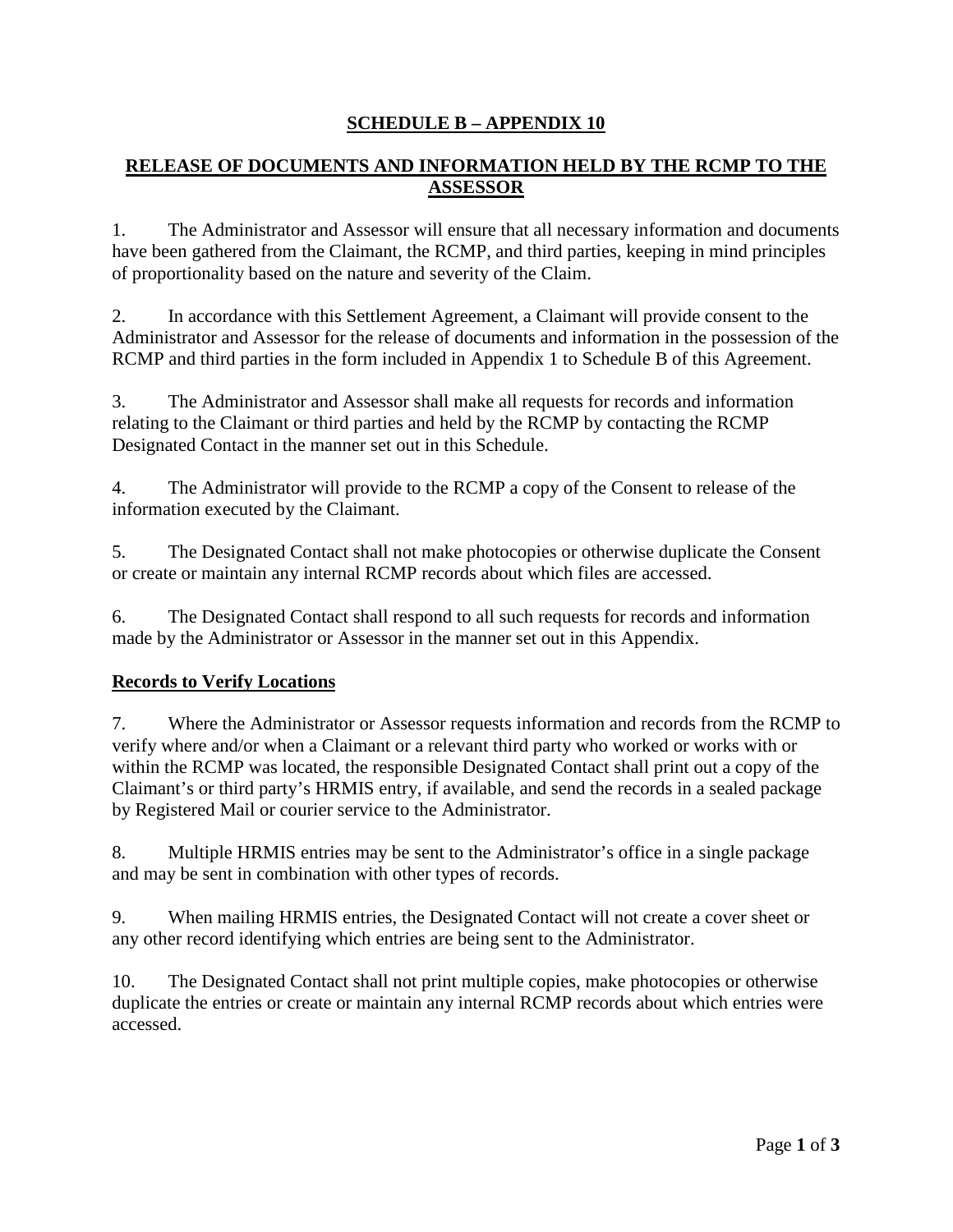# **SCHEDULE B – APPENDIX 10**

# **RELEASE OF DOCUMENTS AND INFORMATION HELD BY THE RCMP TO THE ASSESSOR**

1. The Administrator and Assessor will ensure that all necessary information and documents have been gathered from the Claimant, the RCMP, and third parties, keeping in mind principles of proportionality based on the nature and severity of the Claim.

2. In accordance with this Settlement Agreement, a Claimant will provide consent to the Administrator and Assessor for the release of documents and information in the possession of the RCMP and third parties in the form included in Appendix 1 to Schedule B of this Agreement.

3. The Administrator and Assessor shall make all requests for records and information relating to the Claimant or third parties and held by the RCMP by contacting the RCMP Designated Contact in the manner set out in this Schedule.

4. The Administrator will provide to the RCMP a copy of the Consent to release of the information executed by the Claimant.

5. The Designated Contact shall not make photocopies or otherwise duplicate the Consent or create or maintain any internal RCMP records about which files are accessed.

6. The Designated Contact shall respond to all such requests for records and information made by the Administrator or Assessor in the manner set out in this Appendix.

## **Records to Verify Locations**

7. Where the Administrator or Assessor requests information and records from the RCMP to verify where and/or when a Claimant or a relevant third party who worked or works with or within the RCMP was located, the responsible Designated Contact shall print out a copy of the Claimant's or third party's HRMIS entry, if available, and send the records in a sealed package by Registered Mail or courier service to the Administrator.

8. Multiple HRMIS entries may be sent to the Administrator's office in a single package and may be sent in combination with other types of records.

9. When mailing HRMIS entries, the Designated Contact will not create a cover sheet or any other record identifying which entries are being sent to the Administrator.

10. The Designated Contact shall not print multiple copies, make photocopies or otherwise duplicate the entries or create or maintain any internal RCMP records about which entries were accessed.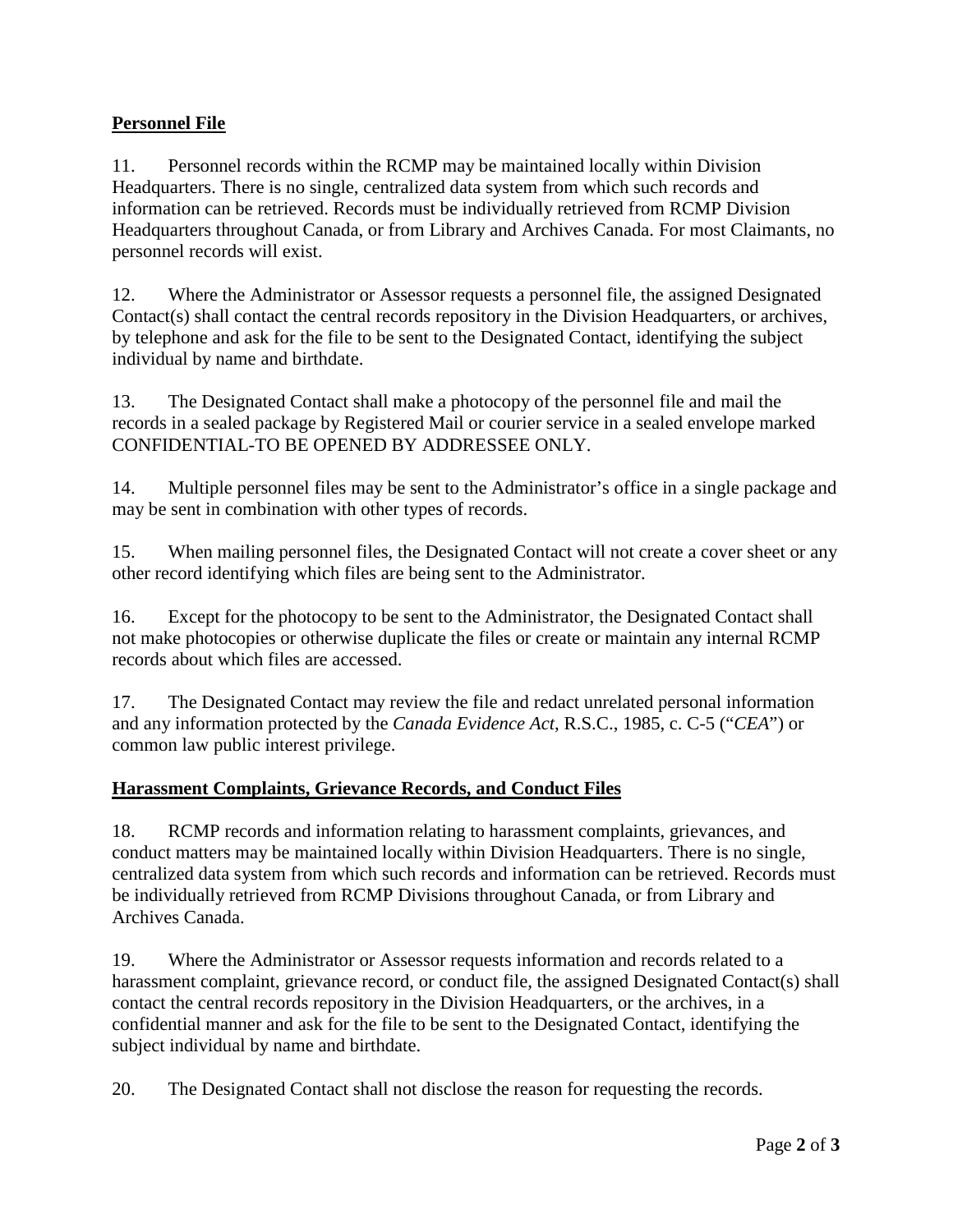# **Personnel File**

11. Personnel records within the RCMP may be maintained locally within Division Headquarters. There is no single, centralized data system from which such records and information can be retrieved. Records must be individually retrieved from RCMP Division Headquarters throughout Canada, or from Library and Archives Canada. For most Claimants, no personnel records will exist.

12. Where the Administrator or Assessor requests a personnel file, the assigned Designated Contact(s) shall contact the central records repository in the Division Headquarters, or archives, by telephone and ask for the file to be sent to the Designated Contact, identifying the subject individual by name and birthdate.

13. The Designated Contact shall make a photocopy of the personnel file and mail the records in a sealed package by Registered Mail or courier service in a sealed envelope marked CONFIDENTIAL-TO BE OPENED BY ADDRESSEE ONLY.

14. Multiple personnel files may be sent to the Administrator's office in a single package and may be sent in combination with other types of records.

15. When mailing personnel files, the Designated Contact will not create a cover sheet or any other record identifying which files are being sent to the Administrator.

16. Except for the photocopy to be sent to the Administrator, the Designated Contact shall not make photocopies or otherwise duplicate the files or create or maintain any internal RCMP records about which files are accessed.

17. The Designated Contact may review the file and redact unrelated personal information and any information protected by the *Canada Evidence Act*, R.S.C., 1985, c. C-5 ("*CEA*") or common law public interest privilege.

## **Harassment Complaints, Grievance Records, and Conduct Files**

18. RCMP records and information relating to harassment complaints, grievances, and conduct matters may be maintained locally within Division Headquarters. There is no single, centralized data system from which such records and information can be retrieved. Records must be individually retrieved from RCMP Divisions throughout Canada, or from Library and Archives Canada.

19. Where the Administrator or Assessor requests information and records related to a harassment complaint, grievance record, or conduct file, the assigned Designated Contact(s) shall contact the central records repository in the Division Headquarters, or the archives, in a confidential manner and ask for the file to be sent to the Designated Contact, identifying the subject individual by name and birthdate.

20. The Designated Contact shall not disclose the reason for requesting the records.